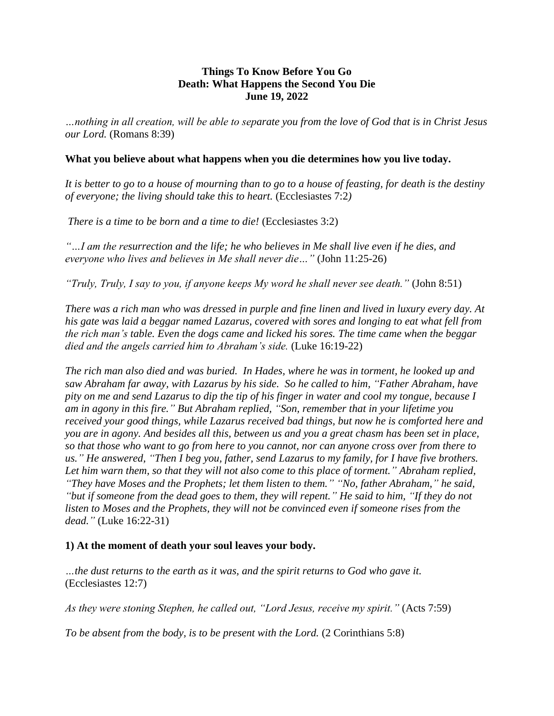## **Things To Know Before You Go Death: What Happens the Second You Die June 19, 2022**

*…nothing in all creation, will be able to separate you from the love of God that is in Christ Jesus our Lord.* (Romans 8:39)

### **What you believe about what happens when you die determines how you live today.**

*It is better to go to a house of mourning than to go to a house of feasting, for death is the destiny of everyone; the living should take this to heart.* (Ecclesiastes 7:2*)*

*There is a time to be born and a time to die!* (Ecclesiastes 3:2)

*"…I am the resurrection and the life; he who believes in Me shall live even if he dies, and everyone who lives and believes in Me shall never die…"* (John 11:25-26)

*"Truly, Truly, I say to you, if anyone keeps My word he shall never see death."* (John 8:51)

*There was a rich man who was dressed in purple and fine linen and lived in luxury every day. At his gate was laid a beggar named Lazarus, covered with sores and longing to eat what fell from the rich man's table. Even the dogs came and licked his sores. The time came when the beggar died and the angels carried him to Abraham's side.* (Luke 16:19-22)

*The rich man also died and was buried. In Hades, where he was in torment, he looked up and saw Abraham far away, with Lazarus by his side. So he called to him, "Father Abraham, have pity on me and send Lazarus to dip the tip of his finger in water and cool my tongue, because I am in agony in this fire." But Abraham replied, "Son, remember that in your lifetime you received your good things, while Lazarus received bad things, but now he is comforted here and you are in agony. And besides all this, between us and you a great chasm has been set in place, so that those who want to go from here to you cannot, nor can anyone cross over from there to us." He answered, "Then I beg you, father, send Lazarus to my family, for I have five brothers. Let him warn them, so that they will not also come to this place of torment." Abraham replied, "They have Moses and the Prophets; let them listen to them." "No, father Abraham," he said, "but if someone from the dead goes to them, they will repent." He said to him, "If they do not listen to Moses and the Prophets, they will not be convinced even if someone rises from the dead."* (Luke 16:22-31)

#### **1) At the moment of death your soul leaves your body.**

*…the dust returns to the earth as it was, and the spirit returns to God who gave it.*  (Ecclesiastes 12:7)

*As they were stoning Stephen, he called out, "Lord Jesus, receive my spirit."* (Acts 7:59)

*To be absent from the body, is to be present with the Lord.* (2 Corinthians 5:8)